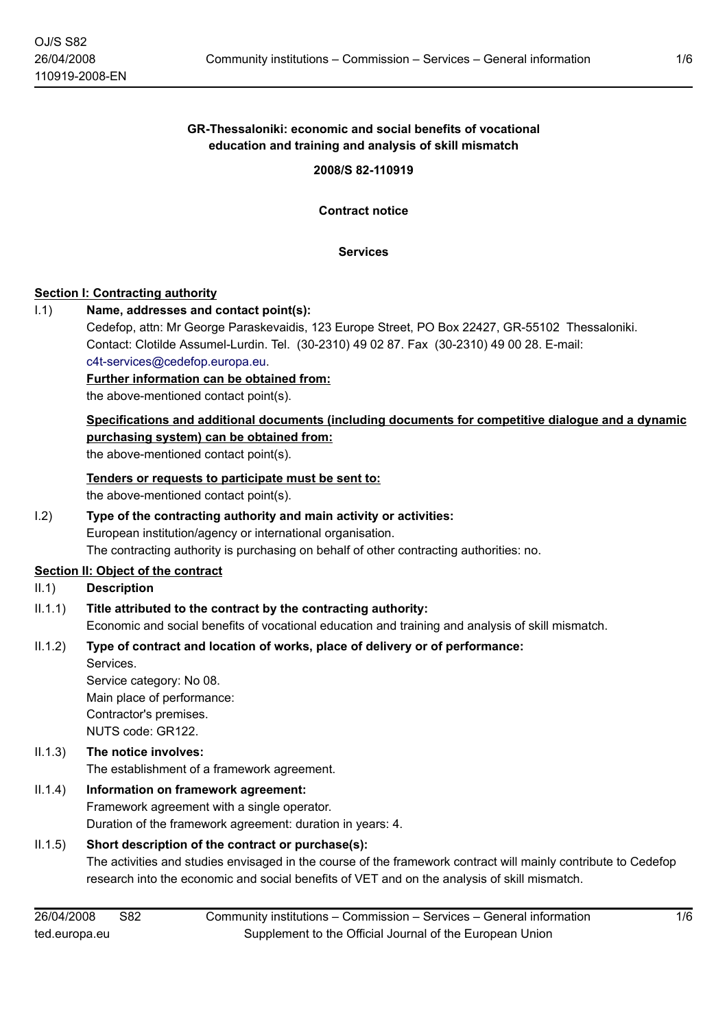# **GR-Thessaloniki: economic and social benefits of vocational education and training and analysis of skill mismatch**

**2008/S 82-110919**

**Contract notice**

**Services**

#### **Section I: Contracting authority**

#### I.1) **Name, addresses and contact point(s):**

Cedefop, attn: Mr George Paraskevaidis, 123 Europe Street, PO Box 22427, GR-55102 Thessaloniki. Contact: Clotilde Assumel-Lurdin. Tel. (30-2310) 49 02 87. Fax (30-2310) 49 00 28. E-mail:

[c4t-services@cedefop.europa.eu.](mailto:c4t-services@cedefop.europa.eu)

**Further information can be obtained from:**

the above-mentioned contact point(s).

#### **Specifications and additional documents (including documents for competitive dialogue and a dynamic purchasing system) can be obtained from:** the above-mentioned contact point(s).

**Tenders or requests to participate must be sent to:**

the above-mentioned contact point(s).

# I.2) **Type of the contracting authority and main activity or activities:**

European institution/agency or international organisation.

The contracting authority is purchasing on behalf of other contracting authorities: no.

#### **Section II: Object of the contract**

- II.1) **Description**
- II.1.1) **Title attributed to the contract by the contracting authority:** Economic and social benefits of vocational education and training and analysis of skill mismatch.

# II.1.2) **Type of contract and location of works, place of delivery or of performance:**

Services. Service category: No 08. Main place of performance: Contractor's premises. NUTS code: GR122.

# II.1.3) **The notice involves:**

The establishment of a framework agreement.

# II.1.4) **Information on framework agreement:**

Framework agreement with a single operator. Duration of the framework agreement: duration in years: 4.

# II.1.5) **Short description of the contract or purchase(s):**

The activities and studies envisaged in the course of the framework contract will mainly contribute to Cedefop research into the economic and social benefits of VET and on the analysis of skill mismatch.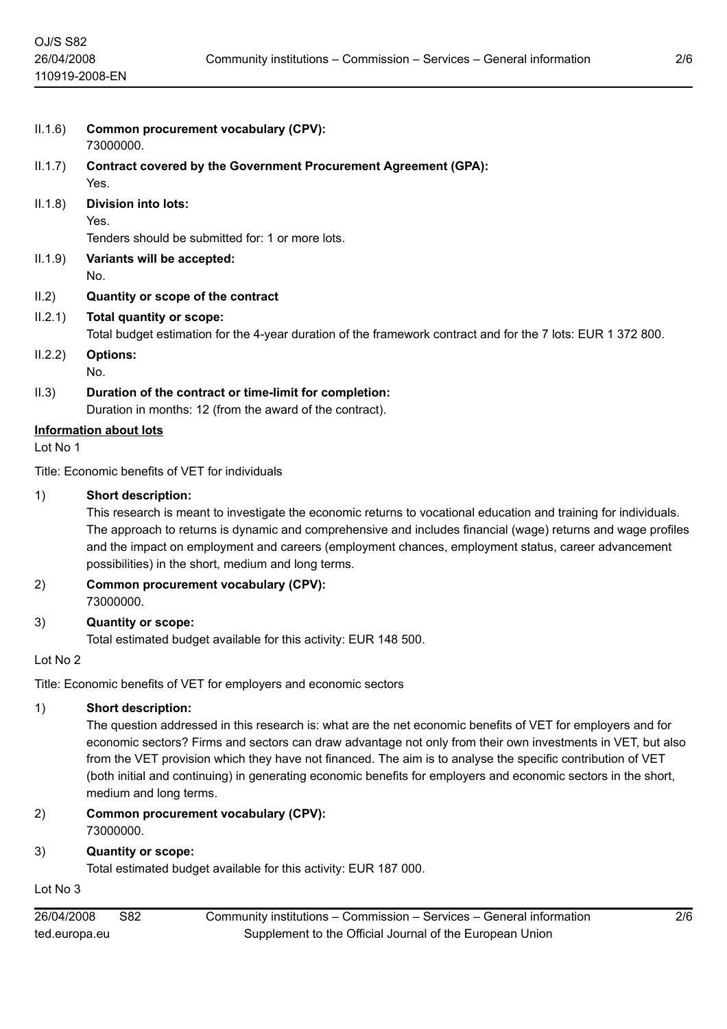| IL.1.6)  | <b>Common procurement vocabulary (CPV):</b><br>73000000.                                                                                                                                                                                                                                                                                                                                                                    |  |  |  |
|----------|-----------------------------------------------------------------------------------------------------------------------------------------------------------------------------------------------------------------------------------------------------------------------------------------------------------------------------------------------------------------------------------------------------------------------------|--|--|--|
| II.1.7)  | <b>Contract covered by the Government Procurement Agreement (GPA):</b><br>Yes.                                                                                                                                                                                                                                                                                                                                              |  |  |  |
| II.1.8)  | <b>Division into lots:</b><br>Yes.                                                                                                                                                                                                                                                                                                                                                                                          |  |  |  |
| II.1.9)  | Tenders should be submitted for: 1 or more lots.<br>Variants will be accepted:<br>No.                                                                                                                                                                                                                                                                                                                                       |  |  |  |
| II.2)    | Quantity or scope of the contract                                                                                                                                                                                                                                                                                                                                                                                           |  |  |  |
| IL2.1)   | Total quantity or scope:<br>Total budget estimation for the 4-year duration of the framework contract and for the 7 lots: EUR 1 372 800.                                                                                                                                                                                                                                                                                    |  |  |  |
| 11.2.2)  | <b>Options:</b><br>No.                                                                                                                                                                                                                                                                                                                                                                                                      |  |  |  |
| II.3)    | Duration of the contract or time-limit for completion:<br>Duration in months: 12 (from the award of the contract).                                                                                                                                                                                                                                                                                                          |  |  |  |
|          | <b>Information about lots</b>                                                                                                                                                                                                                                                                                                                                                                                               |  |  |  |
| Lot No 1 |                                                                                                                                                                                                                                                                                                                                                                                                                             |  |  |  |
|          | Title: Economic benefits of VET for individuals                                                                                                                                                                                                                                                                                                                                                                             |  |  |  |
| 1)       | <b>Short description:</b><br>This research is meant to investigate the economic returns to vocational education and training for individuals.<br>The approach to returns is dynamic and comprehensive and includes financial (wage) returns and wage profiles<br>and the impact on employment and careers (employment chances, employment status, career advancement<br>possibilities) in the short, medium and long terms. |  |  |  |
| 2)       | <b>Common procurement vocabulary (CPV):</b><br>73000000.                                                                                                                                                                                                                                                                                                                                                                    |  |  |  |
| 3)       | <b>Quantity or scope:</b><br>Total estimated budget available for this activity: EUR 148 500.                                                                                                                                                                                                                                                                                                                               |  |  |  |
| Lot No 2 |                                                                                                                                                                                                                                                                                                                                                                                                                             |  |  |  |
|          | Title: Economic benefits of VET for employers and economic sectors                                                                                                                                                                                                                                                                                                                                                          |  |  |  |
|          |                                                                                                                                                                                                                                                                                                                                                                                                                             |  |  |  |

#### 1) **Short description:**

The question addressed in this research is: what are the net economic benefits of VET for employers and for economic sectors? Firms and sectors can draw advantage not only from their own investments in VET, but also from the VET provision which they have not financed. The aim is to analyse the specific contribution of VET (both initial and continuing) in generating economic benefits for employers and economic sectors in the short, medium and long terms.

# 2) **Common procurement vocabulary (CPV):**

# 73000000.

3) **Quantity or scope:**

Total estimated budget available for this activity: EUR 187 000.

# Lot No 3

| 26/04/2008    | S82 | Community institutions - Commission - Services - General information |
|---------------|-----|----------------------------------------------------------------------|
| ted.europa.eu |     | Supplement to the Official Journal of the European Union             |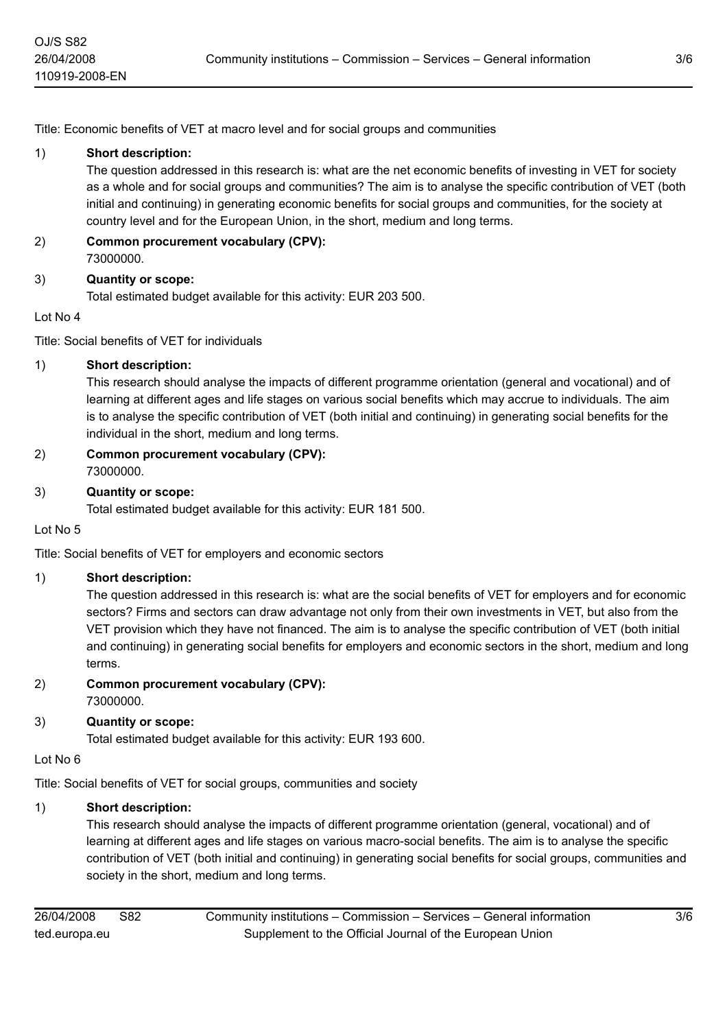Title: Economic benefits of VET at macro level and for social groups and communities

### 1) **Short description:**

The question addressed in this research is: what are the net economic benefits of investing in VET for society as a whole and for social groups and communities? The aim is to analyse the specific contribution of VET (both initial and continuing) in generating economic benefits for social groups and communities, for the society at country level and for the European Union, in the short, medium and long terms.

#### 2) **Common procurement vocabulary (CPV):** 73000000.

# 3) **Quantity or scope:**

Total estimated budget available for this activity: EUR 203 500.

#### Lot No 4

Title: Social benefits of VET for individuals

# 1) **Short description:**

This research should analyse the impacts of different programme orientation (general and vocational) and of learning at different ages and life stages on various social benefits which may accrue to individuals. The aim is to analyse the specific contribution of VET (both initial and continuing) in generating social benefits for the individual in the short, medium and long terms.

2) **Common procurement vocabulary (CPV):** 73000000.

# 3) **Quantity or scope:**

Total estimated budget available for this activity: EUR 181 500.

Lot No 5

Title: Social benefits of VET for employers and economic sectors

# 1) **Short description:**

The question addressed in this research is: what are the social benefits of VET for employers and for economic sectors? Firms and sectors can draw advantage not only from their own investments in VET, but also from the VET provision which they have not financed. The aim is to analyse the specific contribution of VET (both initial and continuing) in generating social benefits for employers and economic sectors in the short, medium and long terms.

# 2) **Common procurement vocabulary (CPV):**

73000000.

# 3) **Quantity or scope:**

Total estimated budget available for this activity: EUR 193 600.

#### Lot No 6

Title: Social benefits of VET for social groups, communities and society

# 1) **Short description:**

This research should analyse the impacts of different programme orientation (general, vocational) and of learning at different ages and life stages on various macro-social benefits. The aim is to analyse the specific contribution of VET (both initial and continuing) in generating social benefits for social groups, communities and society in the short, medium and long terms.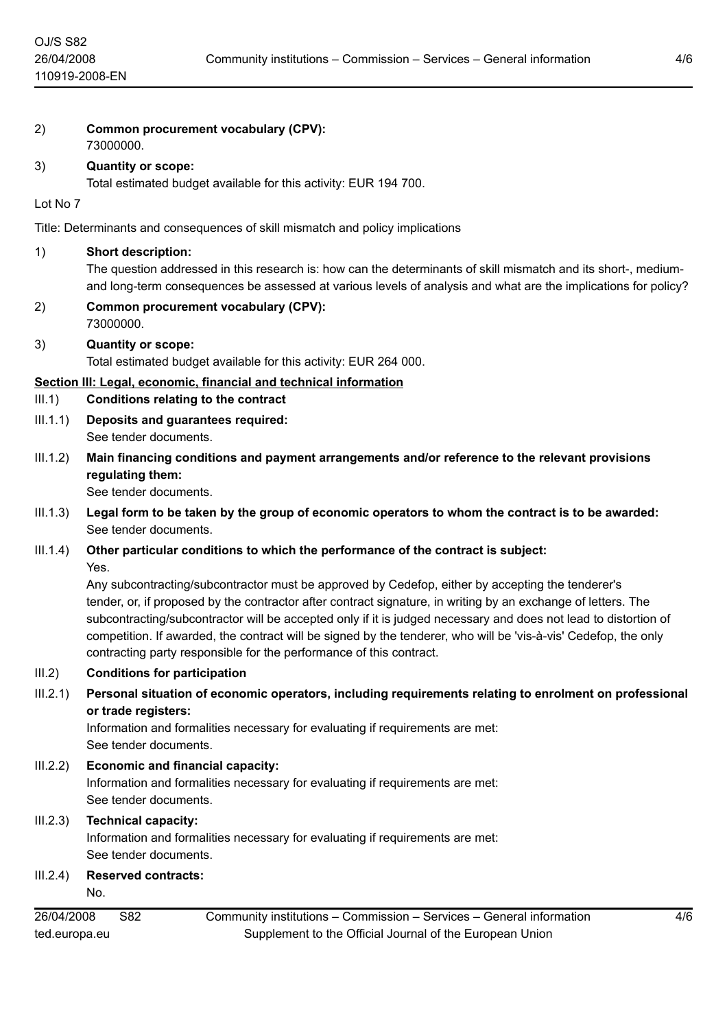| 2)         | Common procurement vocabulary (CPV):<br>73000000.                                                                                                                                                                                                                                                                                                                                                                                                                                                                              |  |  |  |
|------------|--------------------------------------------------------------------------------------------------------------------------------------------------------------------------------------------------------------------------------------------------------------------------------------------------------------------------------------------------------------------------------------------------------------------------------------------------------------------------------------------------------------------------------|--|--|--|
| 3)         | <b>Quantity or scope:</b><br>Total estimated budget available for this activity: EUR 194 700.                                                                                                                                                                                                                                                                                                                                                                                                                                  |  |  |  |
| Lot No 7   |                                                                                                                                                                                                                                                                                                                                                                                                                                                                                                                                |  |  |  |
|            | Title: Determinants and consequences of skill mismatch and policy implications                                                                                                                                                                                                                                                                                                                                                                                                                                                 |  |  |  |
| 1)         | <b>Short description:</b><br>The question addressed in this research is: how can the determinants of skill mismatch and its short-, medium-<br>and long-term consequences be assessed at various levels of analysis and what are the implications for policy?                                                                                                                                                                                                                                                                  |  |  |  |
| 2)         | <b>Common procurement vocabulary (CPV):</b><br>73000000.                                                                                                                                                                                                                                                                                                                                                                                                                                                                       |  |  |  |
| 3)         | <b>Quantity or scope:</b><br>Total estimated budget available for this activity: EUR 264 000.                                                                                                                                                                                                                                                                                                                                                                                                                                  |  |  |  |
| III.1)     | Section III: Legal, economic, financial and technical information<br><b>Conditions relating to the contract</b>                                                                                                                                                                                                                                                                                                                                                                                                                |  |  |  |
| III.1.1)   | Deposits and guarantees required:<br>See tender documents.                                                                                                                                                                                                                                                                                                                                                                                                                                                                     |  |  |  |
| III.1.2)   | Main financing conditions and payment arrangements and/or reference to the relevant provisions<br>regulating them:<br>See tender documents.                                                                                                                                                                                                                                                                                                                                                                                    |  |  |  |
| III.1.3)   | Legal form to be taken by the group of economic operators to whom the contract is to be awarded:<br>See tender documents.                                                                                                                                                                                                                                                                                                                                                                                                      |  |  |  |
| III.1.4)   | Other particular conditions to which the performance of the contract is subject:<br>Yes.                                                                                                                                                                                                                                                                                                                                                                                                                                       |  |  |  |
|            | Any subcontracting/subcontractor must be approved by Cedefop, either by accepting the tenderer's<br>tender, or, if proposed by the contractor after contract signature, in writing by an exchange of letters. The<br>subcontracting/subcontractor will be accepted only if it is judged necessary and does not lead to distortion of<br>competition. If awarded, the contract will be signed by the tenderer, who will be 'vis-à-vis' Cedefop, the only<br>contracting party responsible for the performance of this contract. |  |  |  |
| III.2)     | <b>Conditions for participation</b>                                                                                                                                                                                                                                                                                                                                                                                                                                                                                            |  |  |  |
| III.2.1)   | Personal situation of economic operators, including requirements relating to enrolment on professional<br>or trade registers:<br>Information and formalities necessary for evaluating if requirements are met:<br>See tender documents.                                                                                                                                                                                                                                                                                        |  |  |  |
| III.2.2)   | <b>Economic and financial capacity:</b><br>Information and formalities necessary for evaluating if requirements are met:<br>See tender documents.                                                                                                                                                                                                                                                                                                                                                                              |  |  |  |
| III.2.3)   | <b>Technical capacity:</b><br>Information and formalities necessary for evaluating if requirements are met:<br>See tender documents.                                                                                                                                                                                                                                                                                                                                                                                           |  |  |  |
| III.2.4)   | <b>Reserved contracts:</b><br>No.                                                                                                                                                                                                                                                                                                                                                                                                                                                                                              |  |  |  |
| 26/04/2008 | Community institutions - Commission - Services - General information<br>4/6<br>S82                                                                                                                                                                                                                                                                                                                                                                                                                                             |  |  |  |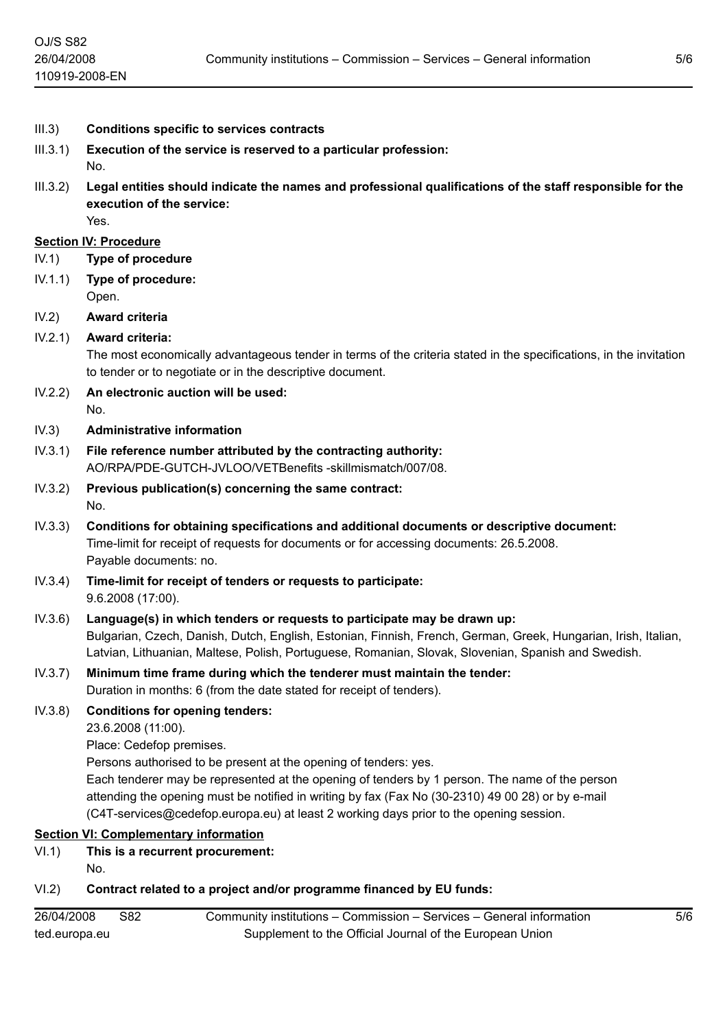- III.3) **Conditions specific to services contracts**
- III.3.1) **Execution of the service is reserved to a particular profession:** No.
- III.3.2) **Legal entities should indicate the names and professional qualifications of the staff responsible for the execution of the service:** Yes.

#### **Section IV: Procedure**

OJ/S S82 26/04/2008

- IV.1) **Type of procedure**
- IV.1.1) **Type of procedure:** Open.
- IV.2) **Award criteria**

#### IV.2.1) **Award criteria:**

The most economically advantageous tender in terms of the criteria stated in the specifications, in the invitation to tender or to negotiate or in the descriptive document.

IV.2.2) **An electronic auction will be used:** No.

#### IV.3) **Administrative information**

- IV.3.1) **File reference number attributed by the contracting authority:** AO/RPA/PDE-GUTCH-JVLOO/VETBenefits -skillmismatch/007/08.
- IV.3.2) **Previous publication(s) concerning the same contract:** No.
- IV.3.3) **Conditions for obtaining specifications and additional documents or descriptive document:** Time-limit for receipt of requests for documents or for accessing documents: 26.5.2008. Payable documents: no.
- IV.3.4) **Time-limit for receipt of tenders or requests to participate:** 9.6.2008 (17:00).
- IV.3.6) **Language(s) in which tenders or requests to participate may be drawn up:** Bulgarian, Czech, Danish, Dutch, English, Estonian, Finnish, French, German, Greek, Hungarian, Irish, Italian, Latvian, Lithuanian, Maltese, Polish, Portuguese, Romanian, Slovak, Slovenian, Spanish and Swedish.
- IV.3.7) **Minimum time frame during which the tenderer must maintain the tender:** Duration in months: 6 (from the date stated for receipt of tenders).
- IV.3.8) **Conditions for opening tenders:**

23.6.2008 (11:00).

Place: Cedefop premises.

Persons authorised to be present at the opening of tenders: yes.

Each tenderer may be represented at the opening of tenders by 1 person. The name of the person attending the opening must be notified in writing by fax (Fax No (30-2310) 49 00 28) or by e-mail (C4T-services@cedefop.europa.eu) at least 2 working days prior to the opening session.

# **Section VI: Complementary information**

- VI.1) **This is a recurrent procurement:**
- No.

#### VI.2) **Contract related to a project and/or programme financed by EU funds:**

| 26/04/2008    | S82 | Community institutions – Commission – Services – General information |
|---------------|-----|----------------------------------------------------------------------|
| ted.europa.eu |     | Supplement to the Official Journal of the European Union             |